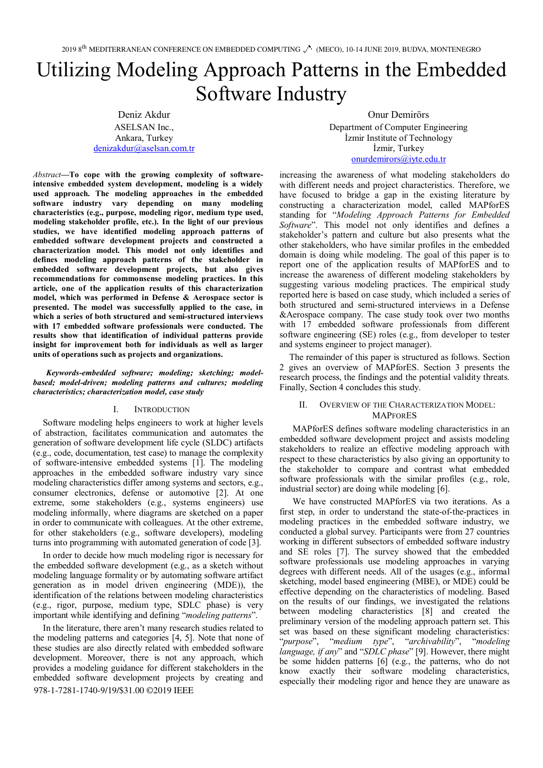# Utilizing Modeling Approach Patterns in the Embedded Software Industry

Deniz Akdur ASELSAN Inc., Ankara, Turkey denizakdur@aselsan.com.tr

Onur Demirörs Department of Computer Engineering İzmir Institute of Technology İzmir, Turkey onurdemirors@iyte.edu.tr

*Abstract***—To cope with the growing complexity of softwareintensive embedded system development, modeling is a widely used approach. The modeling approaches in the embedded software industry vary depending on many modeling characteristics (e.g., purpose, modeling rigor, medium type used, modeling stakeholder profile, etc.). In the light of our previous studies, we have identified modeling approach patterns of embedded software development projects and constructed a characterization model. This model not only identifies and defines modeling approach patterns of the stakeholder in embedded software development projects, but also gives recommendations for commonsense modeling practices. In this article, one of the application results of this characterization model, which was performed in Defense & Aerospace sector is presented. The model was successfully applied to the case, in which a series of both structured and semi-structured interviews with 17 embedded software professionals were conducted. The results show that identification of individual patterns provide insight for improvement both for individuals as well as larger units of operations such as projects and organizations.** 

*Keywords-embedded software; modeling; sketching; modelbased; model-driven; modeling patterns and cultures; modeling characteristics; characterization model, case study*

#### I. INTRODUCTION

Software modeling helps engineers to work at higher levels of abstraction, facilitates communication and automates the generation of software development life cycle (SLDC) artifacts (e.g., code, documentation, test case) to manage the complexity of software-intensive embedded systems [1]. The modeling approaches in the embedded software industry vary since modeling characteristics differ among systems and sectors, e.g., consumer electronics, defense or automotive [2]. At one extreme, some stakeholders (e.g., systems engineers) use modeling informally, where diagrams are sketched on a paper in order to communicate with colleagues. At the other extreme, for other stakeholders (e.g., software developers), modeling turns into programming with automated generation of code [3].

In order to decide how much modeling rigor is necessary for the embedded software development (e.g., as a sketch without modeling language formality or by automating software artifact generation as in model driven engineering (MDE)), the identification of the relations between modeling characteristics (e.g., rigor, purpose, medium type, SDLC phase) is very important while identifying and defining "*modeling patterns*".

In the literature, there aren't many research studies related to the modeling patterns and categories [4, 5]. Note that none of these studies are also directly related with embedded software development. Moreover, there is not any approach, which provides a modeling guidance for different stakeholders in the embedded software development projects by creating and 978-1-7281-1740-9/19/\$31.00 ©2019 IEEE

increasing the awareness of what modeling stakeholders do with different needs and project characteristics. Therefore, we have focused to bridge a gap in the existing literature by constructing a characterization model, called MAPforES standing for "*Modeling Approach Patterns for Embedded Software*". This model not only identifies and defines a stakeholder's pattern and culture but also presents what the other stakeholders, who have similar profiles in the embedded domain is doing while modeling. The goal of this paper is to report one of the application results of MAPforES and to increase the awareness of different modeling stakeholders by suggesting various modeling practices. The empirical study reported here is based on case study, which included a series of both structured and semi-structured interviews in a Defense &Aerospace company. The case study took over two months with 17 embedded software professionals from different software engineering (SE) roles (e.g., from developer to tester and systems engineer to project manager).

The remainder of this paper is structured as follows. Section 2 gives an overview of MAPforES. Section 3 presents the research process, the findings and the potential validity threats. Finally, Section 4 concludes this study.

## OVERVIEW OF THE CHARACTERIZATION MODEL: **MAPFORES**

MAPforES defines software modeling characteristics in an embedded software development project and assists modeling stakeholders to realize an effective modeling approach with respect to these characteristics by also giving an opportunity to the stakeholder to compare and contrast what embedded software professionals with the similar profiles (e.g., role, industrial sector) are doing while modeling [6].

We have constructed MAPforES via two iterations. As a first step, in order to understand the state-of-the-practices in modeling practices in the embedded software industry, we conducted a global survey. Participants were from 27 countries working in different subsectors of embedded software industry and SE roles [7]. The survey showed that the embedded software professionals use modeling approaches in varying degrees with different needs. All of the usages (e.g., informal sketching, model based engineering (MBE), or MDE) could be effective depending on the characteristics of modeling. Based on the results of our findings, we investigated the relations between modeling characteristics [8] and created the preliminary version of the modeling approach pattern set. This set was based on these significant modeling characteristics: "*purpose*", "*medium type*", "*archivability*", "*modeling language, if any*" and "*SDLC phase*" [9]. However, there might be some hidden patterns [6] (e.g., the patterns, who do not know exactly their software modeling characteristics, especially their modeling rigor and hence they are unaware as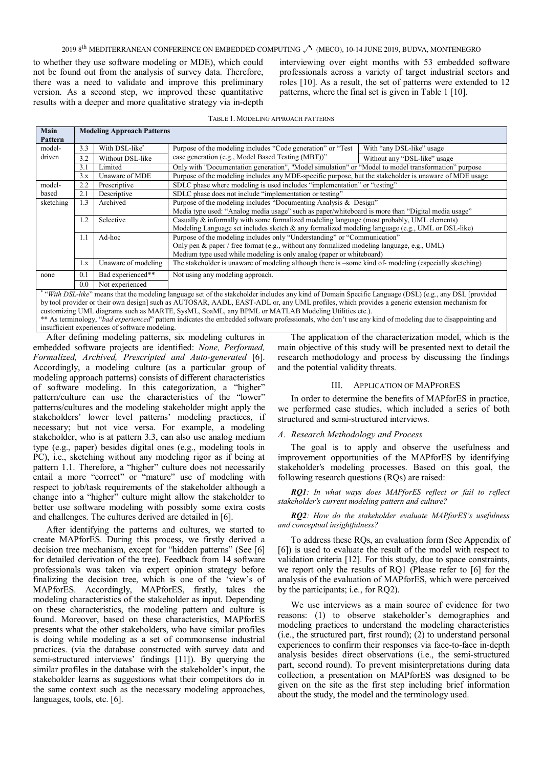## 2019 8<sup>th</sup> MEDITERRANEAN CONFERENCE ON EMBEDDED COMPUTING (M<sup>at</sup>) (MECO), 10-14 JUNE 2019, BUDVA, MONTENEGRO

to whether they use software modeling or MDE), which could not be found out from the analysis of survey data. Therefore, there was a need to validate and improve this preliminary version. As a second step, we improved these quantitative results with a deeper and more qualitative strategy via in-depth

interviewing over eight months with 53 embedded software professionals across a variety of target industrial sectors and roles [10]. As a result, the set of patterns were extended to 12 patterns, where the final set is given in Table 1 [10].

| TABLE 1. MODELING APPROACH PATTERNS                                                                                                          |     |                                   |                                                                                                                                                                                                   |                                                                                                     |  |  |  |
|----------------------------------------------------------------------------------------------------------------------------------------------|-----|-----------------------------------|---------------------------------------------------------------------------------------------------------------------------------------------------------------------------------------------------|-----------------------------------------------------------------------------------------------------|--|--|--|
| Main                                                                                                                                         |     | <b>Modeling Approach Patterns</b> |                                                                                                                                                                                                   |                                                                                                     |  |  |  |
| Pattern                                                                                                                                      |     |                                   |                                                                                                                                                                                                   |                                                                                                     |  |  |  |
| model-                                                                                                                                       | 3.3 | With DSL-like*                    | Purpose of the modeling includes "Code generation" or "Test"                                                                                                                                      | With "any DSL-like" usage                                                                           |  |  |  |
| driven                                                                                                                                       | 3.2 | Without DSL-like                  | case generation (e.g., Model Based Testing (MBT))"                                                                                                                                                | Without any "DSL-like" usage                                                                        |  |  |  |
|                                                                                                                                              | 3.1 | Limited                           |                                                                                                                                                                                                   | Only with "Documentation generation", "Model simulation" or "Model to model transformation" purpose |  |  |  |
|                                                                                                                                              | 3.x | Unaware of MDE                    | Purpose of the modeling includes any MDE-specific purpose, but the stakeholder is unaware of MDE usage                                                                                            |                                                                                                     |  |  |  |
| model-                                                                                                                                       | 2.2 | Prescriptive                      | SDLC phase where modeling is used includes "implementation" or "testing"                                                                                                                          |                                                                                                     |  |  |  |
| based                                                                                                                                        | 2.1 | Descriptive                       | SDLC phase does not include "implementation or testing"                                                                                                                                           |                                                                                                     |  |  |  |
| sketching                                                                                                                                    | 1.3 | Archived                          | Purpose of the modeling includes "Documenting Analysis & Design"                                                                                                                                  |                                                                                                     |  |  |  |
|                                                                                                                                              |     |                                   | Media type used: "Analog media usage" such as paper/whiteboard is more than "Digital media usage"                                                                                                 |                                                                                                     |  |  |  |
|                                                                                                                                              | 1.2 | Selective                         | Casually $\&$ informally with some formalized modeling language (most probably, UML elements)<br>Modeling Language set includes sketch & any formalized modeling language (e.g., UML or DSL-like) |                                                                                                     |  |  |  |
|                                                                                                                                              |     |                                   |                                                                                                                                                                                                   |                                                                                                     |  |  |  |
|                                                                                                                                              | 1.1 | Ad-hoc                            | Purpose of the modeling includes only "Understanding" or "Communication"                                                                                                                          |                                                                                                     |  |  |  |
|                                                                                                                                              |     |                                   | Only pen & paper / free format (e.g., without any formalized modeling language, e.g., UML)                                                                                                        |                                                                                                     |  |  |  |
|                                                                                                                                              |     |                                   | Medium type used while modeling is only analog (paper or whiteboard)                                                                                                                              |                                                                                                     |  |  |  |
|                                                                                                                                              | 1.x | Unaware of modeling               | The stakeholder is unaware of modeling although there is -some kind of-modeling (especially sketching)                                                                                            |                                                                                                     |  |  |  |
| none                                                                                                                                         | 0.1 | Bad experienced**                 | Not using any modeling approach.                                                                                                                                                                  |                                                                                                     |  |  |  |
|                                                                                                                                              | 0.0 | Not experienced                   |                                                                                                                                                                                                   |                                                                                                     |  |  |  |
|                                                                                                                                              |     |                                   | "With DSL-like" means that the modeling language set of the stakeholder includes any kind of Domain Specific Language (DSL) (e.g., any DSL [provided                                              |                                                                                                     |  |  |  |
| by tool provider or their own design] such as AUTOSAR, AADL, EAST-ADL or, any UML profiles, which provides a generic extension mechanism for |     |                                   |                                                                                                                                                                                                   |                                                                                                     |  |  |  |
| customizing UML diagrams such as MARTE, SysML, SoaML, any BPML or MATLAB Modeling Utilities etc.).                                           |     |                                   |                                                                                                                                                                                                   |                                                                                                     |  |  |  |

\*\* As terminology, "*bad experienced*" pattern indicates the embedded software professionals, who don't use any kind of modeling due to disappointing and insufficient experiences of software modeling.

After defining modeling patterns, six modeling cultures in embedded software projects are identified: *None, Performed, Formalized, Archived, Prescripted and Auto-generated* [6]. Accordingly, a modeling culture (as a particular group of modeling approach patterns) consists of different characteristics of software modeling. In this categorization, a "higher" pattern/culture can use the characteristics of the "lower" patterns/cultures and the modeling stakeholder might apply the stakeholders' lower level patterns' modeling practices, if necessary; but not vice versa. For example, a modeling stakeholder, who is at pattern 3.3, can also use analog medium type (e.g., paper) besides digital ones (e.g., modeling tools in PC), i.e., sketching without any modeling rigor as if being at pattern 1.1. Therefore, a "higher" culture does not necessarily entail a more "correct" or "mature" use of modeling with respect to job/task requirements of the stakeholder although a change into a "higher" culture might allow the stakeholder to better use software modeling with possibly some extra costs and challenges. The cultures derived are detailed in [6].

After identifying the patterns and cultures, we started to create MAPforES. During this process, we firstly derived a decision tree mechanism, except for "hidden patterns" (See [6] for detailed derivation of the tree). Feedback from 14 software professionals was taken via expert opinion strategy before finalizing the decision tree, which is one of the 'view's of MAPforES. Accordingly, MAPforES, firstly, takes the modeling characteristics of the stakeholder as input. Depending on these characteristics, the modeling pattern and culture is found. Moreover, based on these characteristics, MAPforES presents what the other stakeholders, who have similar profiles is doing while modeling as a set of commonsense industrial practices. (via the database constructed with survey data and semi-structured interviews' findings [11]). By querying the similar profiles in the database with the stakeholder's input, the stakeholder learns as suggestions what their competitors do in the same context such as the necessary modeling approaches, languages, tools, etc. [6].

The application of the characterization model, which is the main objective of this study will be presented next to detail the research methodology and process by discussing the findings and the potential validity threats.

## III. APPLICATION OF MAPFORES

In order to determine the benefits of MAPforES in practice, we performed case studies, which included a series of both structured and semi-structured interviews.

#### *A. Research Methodology and Process*

The goal is to apply and observe the usefulness and improvement opportunities of the MAPforES by identifying stakeholder's modeling processes. Based on this goal, the following research questions (RQs) are raised:

*RQ1: In what ways does MAPforES reflect or fail to reflect stakeholder's current modeling pattern and culture?*

*RQ2: How do the stakeholder evaluate MAPforES's usefulness and conceptual insightfulness?*

To address these RQs, an evaluation form (See Appendix of [6]) is used to evaluate the result of the model with respect to validation criteria [12]. For this study, due to space constraints, we report only the results of RQ1 (Please refer to [6] for the analysis of the evaluation of MAPforES, which were perceived by the participants; i.e., for RQ2).

We use interviews as a main source of evidence for two reasons: (1) to observe stakeholder's demographics and modeling practices to understand the modeling characteristics (i.e., the structured part, first round); (2) to understand personal experiences to confirm their responses via face-to-face in-depth analysis besides direct observations (i.e., the semi-structured part, second round). To prevent misinterpretations during data collection, a presentation on MAPforES was designed to be given on the site as the first step including brief information about the study, the model and the terminology used.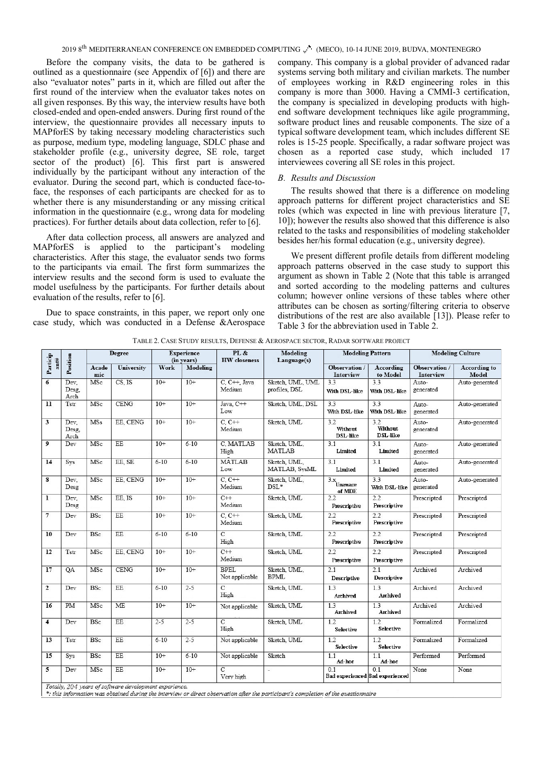Before the company visits, the data to be gathered is outlined as a questionnaire (see Appendix of [6]) and there are also "evaluator notes" parts in it, which are filled out after the first round of the interview when the evaluator takes notes on all given responses. By this way, the interview results have both closed-ended and open-ended answers. During first round of the interview, the questionnaire provides all necessary inputs to MAPforES by taking necessary modeling characteristics such as purpose, medium type, modeling language, SDLC phase and stakeholder profile (e.g., university degree, SE role, target sector of the product) [6]. This first part is answered individually by the participant without any interaction of the evaluator. During the second part, which is conducted face-toface, the responses of each participants are checked for as to whether there is any misunderstanding or any missing critical information in the questionnaire (e.g., wrong data for modeling practices). For further details about data collection, refer to [6].

After data collection process, all answers are analyzed and MAPforES is applied to the participant's modeling characteristics. After this stage, the evaluator sends two forms to the participants via email. The first form summarizes the interview results and the second form is used to evaluate the model usefulness by the participants. For further details about evaluation of the results, refer to [6].

Due to space constraints, in this paper, we report only one case study, which was conducted in a Defense &Aerospace company. This company is a global provider of advanced radar systems serving both military and civilian markets. The number of employees working in R&D engineering roles in this company is more than 3000. Having a CMMI-3 certification, the company is specialized in developing products with highend software development techniques like agile programming, software product lines and reusable components. The size of a typical software development team, which includes different SE roles is 15-25 people. Specifically, a radar software project was chosen as a reported case study, which included 17 interviewees covering all SE roles in this project.

## *B. Results and Discussion*

The results showed that there is a difference on modeling approach patterns for different project characteristics and SE roles (which was expected in line with previous literature [7, 10]); however the results also showed that this difference is also related to the tasks and responsibilities of modeling stakeholder besides her/his formal education (e.g., university degree).

We present different profile details from different modeling approach patterns observed in the case study to support this argument as shown in Table 2 (Note that this table is arranged and sorted according to the modeling patterns and cultures column; however online versions of these tables where other attributes can be chosen as sorting/filtering criteria to observe distributions of the rest are also available [13]). Please refer to Table 3 for the abbreviation used in Table 2.

| ant#                    |                       | <b>Degree</b> |                                                         | <b>Experience</b><br>(in years) |          | PL &<br><b>HW</b> closeness   | Modeling<br>Language(s)           | <b>Modeling Pattern</b>                           |                                   | <b>Modeling Culture</b>           |                              |
|-------------------------|-----------------------|---------------|---------------------------------------------------------|---------------------------------|----------|-------------------------------|-----------------------------------|---------------------------------------------------|-----------------------------------|-----------------------------------|------------------------------|
| Particip                | Position              | Acade<br>mic  | <b>University</b>                                       | Work                            | Modeling |                               |                                   | Observation /<br>Interview                        | According<br>to Model             | Observation /<br><b>Interview</b> | <b>According to</b><br>Model |
| 6                       | Dev,<br>Desg.<br>Arch | MSc           | $CS$ , IS                                               | $10+$                           | $10+$    | C, C++, Java<br>Medium        | Sketch, UML, UML<br>profiles, DSL | 3.3<br>With DSL-like                              | 3.3<br>With DSL-like              | Auto-<br>generated                | Auto-generated               |
| 11                      | Tstr                  | MSc           | CENG                                                    | $10+$                           | $10+$    | Java, C++<br>Low              | Sketch, UML, DSL                  | 3.3<br>With DSL-like                              | 3.3<br>With DSL-like              | Auto-<br>generated                | Auto-generated               |
| 3                       | Dev.<br>Desg.<br>Arch | <b>MSs</b>    | EE, CENG                                                | $10+$                           | $10+$    | $C, C++$<br>Medium            | Sketch, UML                       | 3.2<br>Without<br><b>DSL-like</b>                 | 3.2<br>Without<br><b>DSL-like</b> | Auto-<br>generated                | Auto-generated               |
| $\overline{9}$          | Dev                   | MSc           | EE                                                      | $10+$                           | $6 - 10$ | C, MATLAB<br>High             | Sketch, UML,<br><b>MATLAB</b>     | 3.1<br>Limited                                    | 3.1<br>Limited                    | Auto-<br>generated                | Auto-generated               |
| 14                      | Sys                   | MSc           | EE. SE                                                  | $6 - 10$                        | $6 - 10$ | <b>MATLAB</b><br>Low          | Sketch, UML,<br>MATLAB, SysML     | 3.1<br>Limited                                    | 3.1<br>Limited                    | Auto-<br>generated                | Auto-generated               |
| 8                       | Dev,<br>Desg          | MSc           | EE, CENG                                                | $10+$                           | $10+$    | $C, C++$<br>Medium            | Sketch, UML,<br>$DSL*$            | $\frac{3 \times 1}{3 \times 1}$ Unaware<br>of MDE | 3.3<br>With DSL-like              | Auto-<br>generated                | Auto-generated               |
| 1                       | Dev,<br>Desg          | MSc           | EE, IS                                                  | $10+$                           | $10+$    | $C++$<br>Medium               | Sketch, UML                       | 2.2<br>Prescriptive                               | 2.2<br>Prescriptive               | Prescripted                       | Prescripted                  |
| $\overline{7}$          | Dev                   | <b>BSc</b>    | EE                                                      | $10+$                           | $10+$    | $C, C++$<br>Medium            | Sketch, UML                       | 2.2<br>Prescriptive                               | 2.2<br>Prescriptive               | Prescripted                       | Prescripted                  |
| 10                      | Dev                   | <b>BSc</b>    | EE                                                      | $6 - 10$                        | $6 - 10$ | C<br>High                     | Sketch, UML                       | 2.2<br>Prescriptive                               | 2.2<br>Prescriptive               | Prescripted                       | Prescripted                  |
| 12                      | Tstr                  | MSc           | EE, CENG                                                | $10+$                           | $10+$    | $C++$<br>Medium               | Sketch, UML                       | 2.2<br>Prescriptive                               | 2.2<br>Prescriptive               | Prescripted                       | Prescripted                  |
| 17                      | QA                    | MSc           | <b>CENG</b>                                             | $10+$                           | $10+$    | <b>BPEL</b><br>Not applicable | Sketch, UML,<br><b>BPML</b>       | 2.1<br>Descriptive                                | 2.1<br>Descriptive                | Archived                          | Archived                     |
| $\overline{2}$          | Dev                   | <b>BSc</b>    | EE                                                      | $6 - 10$                        | $2 - 5$  | $\overline{C}$<br>High        | Sketch, UML                       | 1.3<br>Archived                                   | 1.3<br>Archived                   | Archived                          | Archived                     |
| 16                      | PM                    | MSc           | ME                                                      | $10+$                           | $10+$    | Not applicable                | Sketch, UML                       | 13<br><b>Archived</b>                             | 1.3<br><b>Archived</b>            | Archived                          | Archived                     |
| $\overline{\mathbf{4}}$ | Dev                   | <b>BSc</b>    | EE                                                      | $2 - 5$                         | $2 - 5$  | $\mathbf C$<br>High           | Sketch, UML                       | 1.2<br><b>Selective</b>                           | 1.2<br>Selective                  | Formalized                        | Formalized                   |
| 13                      | Tstr                  | <b>BSc</b>    | EE                                                      | $6 - 10$                        | $2 - 5$  | Not applicable                | Sketch, UML                       | 1.2<br>Selective                                  | 1.2<br>Selective                  | Formalized                        | Formalized                   |
| 15                      | Sys                   | <b>BSc</b>    | EE                                                      | $10+$                           | $6 - 10$ | Not applicable                | Sketch                            | 1.1<br>Ad-hoc                                     | 1.1<br>Ad-hoc                     | Performed                         | Performed                    |
| 5                       | Dev                   | MSc           | EE<br>$T_{\text{ref}}(L, 20.8, \ldots, L_{\text{ref}})$ | $10+$<br>a mat man mate         | $10+$    | $\overline{C}$<br>Very high   | $\overline{\phantom{a}}$          | 0.1<br>Bad experienced Bad experienced            | 0 <sub>1</sub>                    | None                              | None                         |

TABLE 2. CASE STUDY RESULTS, DEFENSE & AEROSPACE SECTOR, RADAR SOFTWARE PROJECT

otally. 204 years of software development experience.

\*: this information was obtained during the interview or direct observation after the participant's completion of the questionnaire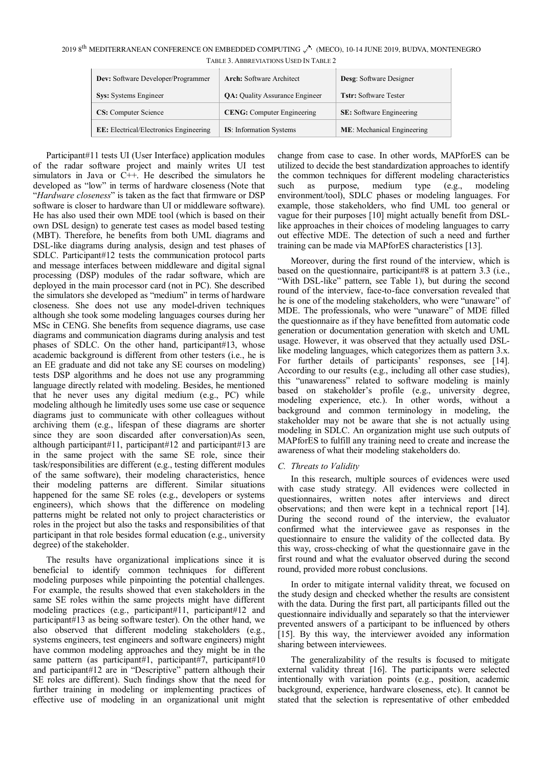TABLE 3. ABBREVIATIONS USED IN TABLE 2 2019 8<sup>th</sup> MEDITERRANEAN CONFERENCE ON EMBEDDED COMPUTING (M<sup>at</sup>) (MECO), 10-14 JUNE 2019, BUDVA, MONTENEGRO

| <b>Dev:</b> Software Developer/Programmer     | <b>Arch:</b> Software Architect       | <b>Desg:</b> Software Designer  |  |  |
|-----------------------------------------------|---------------------------------------|---------------------------------|--|--|
| <b>Sys:</b> Systems Engineer                  | <b>QA:</b> Quality Assurance Engineer | <b>Tstr:</b> Software Tester    |  |  |
| <b>CS:</b> Computer Science                   | <b>CENG:</b> Computer Engineering     | <b>SE:</b> Software Engineering |  |  |
| <b>EE:</b> Electrical/Electronics Engineering | <b>IS:</b> Information Systems        | ME: Mechanical Engineering      |  |  |

of the radar software project and mainly writes UI test simulators in Java or  $C++$ . He described the simulators he developed as "low" in terms of hardware closeness (Note that "*Hardware closeness*" is taken as the fact that firmware or DSP software is closer to hardware than UI or middleware software). He has also used their own MDE tool (which is based on their own DSL design) to generate test cases as model based testing (MBT). Therefore, he benefits from both UML diagrams and DSL-like diagrams during analysis, design and test phases of SDLC. Participant#12 tests the communication protocol parts and message interfaces between middleware and digital signal processing (DSP) modules of the radar software, which are deployed in the main processor card (not in PC). She described the simulators she developed as "medium" in terms of hardware closeness. She does not use any model-driven techniques although she took some modeling languages courses during her MSc in CENG. She benefits from sequence diagrams, use case diagrams and communication diagrams during analysis and test phases of SDLC. On the other hand, participant#13, whose academic background is different from other testers (i.e., he is an EE graduate and did not take any SE courses on modeling) tests DSP algorithms and he does not use any programming language directly related with modeling. Besides, he mentioned that he never uses any digital medium (e.g., PC) while modeling although he limitedly uses some use case or sequence diagrams just to communicate with other colleagues without archiving them (e.g., lifespan of these diagrams are shorter since they are soon discarded after conversation)As seen, although participant#11, participant#12 and participant#13 are in the same project with the same SE role, since their task/responsibilities are different (e.g., testing different modules of the same software), their modeling characteristics, hence their modeling patterns are different. Similar situations happened for the same SE roles (e.g., developers or systems engineers), which shows that the difference on modeling patterns might be related not only to project characteristics or roles in the project but also the tasks and responsibilities of that participant in that role besides formal education (e.g., university degree) of the stakeholder.

Participant#11 tests UI (User Interface) application modules

The results have organizational implications since it is beneficial to identify common techniques for different modeling purposes while pinpointing the potential challenges. For example, the results showed that even stakeholders in the same SE roles within the same projects might have different modeling practices (e.g., participant#11, participant#12 and participant#13 as being software tester). On the other hand, we also observed that different modeling stakeholders (e.g., systems engineers, test engineers and software engineers) might have common modeling approaches and they might be in the same pattern (as participant#1, participant#7, participant#10 and participant#12 are in "Descriptive" pattern although their SE roles are different). Such findings show that the need for further training in modeling or implementing practices of effective use of modeling in an organizational unit might

change from case to case. In other words, MAPforES can be utilized to decide the best standardization approaches to identify the common techniques for different modeling characteristics such as purpose, medium type (e.g., modeling environment/tool), SDLC phases or modeling languages. For example, those stakeholders, who find UML too general or vague for their purposes [10] might actually benefit from DSLlike approaches in their choices of modeling languages to carry out effective MDE. The detection of such a need and further training can be made via MAPforES characteristics [13].

Moreover, during the first round of the interview, which is based on the questionnaire, participant#8 is at pattern 3.3 (i.e., "With DSL-like" pattern, see Table 1), but during the second round of the interview, face-to-face conversation revealed that he is one of the modeling stakeholders, who were "unaware" of MDE. The professionals, who were "unaware" of MDE filled the questionnaire as if they have benefitted from automatic code generation or documentation generation with sketch and UML usage. However, it was observed that they actually used DSLlike modeling languages, which categorizes them as pattern 3.x. For further details of participants' responses, see [14]. According to our results (e.g., including all other case studies), this "unawareness" related to software modeling is mainly based on stakeholder's profile (e.g., university degree, modeling experience, etc.). In other words, without a background and common terminology in modeling, the stakeholder may not be aware that she is not actually using modeling in SDLC. An organization might use such outputs of MAPforES to fulfill any training need to create and increase the awareness of what their modeling stakeholders do.

# *C. Threats to Validity*

In this research, multiple sources of evidences were used with case study strategy. All evidences were collected in questionnaires, written notes after interviews and direct observations; and then were kept in a technical report [14]. During the second round of the interview, the evaluator confirmed what the interviewee gave as responses in the questionnaire to ensure the validity of the collected data. By this way, cross-checking of what the questionnaire gave in the first round and what the evaluator observed during the second round, provided more robust conclusions.

In order to mitigate internal validity threat, we focused on the study design and checked whether the results are consistent with the data. During the first part, all participants filled out the questionnaire individually and separately so that the interviewer prevented answers of a participant to be influenced by others [15]. By this way, the interviewer avoided any information sharing between interviewees.

The generalizability of the results is focused to mitigate external validity threat [16]. The participants were selected intentionally with variation points (e.g., position, academic background, experience, hardware closeness, etc). It cannot be stated that the selection is representative of other embedded